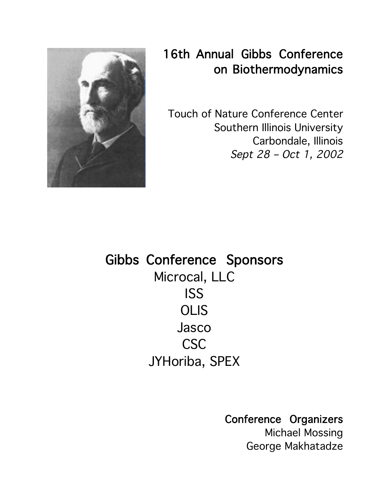

## 16th Annual Gibbs Conference on Biothermodynamics

Touch of Nature Conference Center Southern Illinois University Carbondale, Illinois Sept 28 – Oct 1, 2002

Gibbs Conference Sponsors Microcal, LLC ISS **OLIS** Jasco CSC JYHoriba, SPEX

Conference Organizers

Michael Mossing George Makhatadze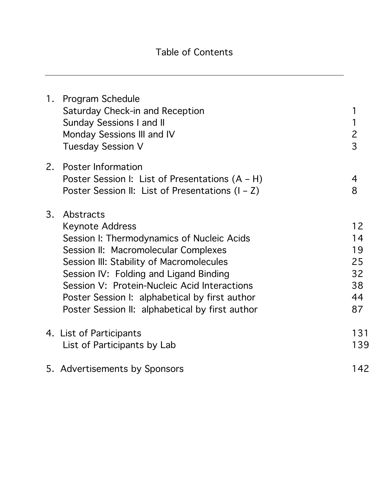|    | 1. Program Schedule<br>Saturday Check-in and Reception<br><b>Sunday Sessions I and II</b><br>Monday Sessions III and IV<br><b>Tuesday Session V</b>                                                                                                                                                                                                                  | 1<br>1<br>$\overline{c}$<br>$\overline{3}$   |
|----|----------------------------------------------------------------------------------------------------------------------------------------------------------------------------------------------------------------------------------------------------------------------------------------------------------------------------------------------------------------------|----------------------------------------------|
| 2. | <b>Poster Information</b><br>Poster Session I: List of Presentations (A - H)<br>Poster Session II: List of Presentations $(I - Z)$                                                                                                                                                                                                                                   | 4<br>8                                       |
| 3. | Abstracts<br><b>Keynote Address</b><br>Session I: Thermodynamics of Nucleic Acids<br>Session II: Macromolecular Complexes<br>Session III: Stability of Macromolecules<br>Session IV: Folding and Ligand Binding<br>Session V: Protein-Nucleic Acid Interactions<br>Poster Session I: alphabetical by first author<br>Poster Session II: alphabetical by first author | 12<br>14<br>19<br>25<br>32<br>38<br>44<br>87 |
|    | 4. List of Participants<br>List of Participants by Lab                                                                                                                                                                                                                                                                                                               | 131<br>139                                   |
|    | 5. Advertisements by Sponsors                                                                                                                                                                                                                                                                                                                                        | 142                                          |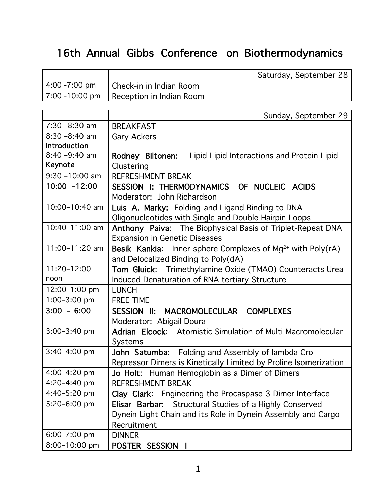## 16th Annual Gibbs Conference on Biothermodynamics

|                     | Saturday, September 28                                                 |
|---------------------|------------------------------------------------------------------------|
| 4:00 -7:00 pm       | Check-in in Indian Room                                                |
| 7:00 -10:00 pm      | Reception in Indian Room                                               |
|                     |                                                                        |
|                     | Sunday, September 29                                                   |
| $7:30 - 8:30$ am    | <b>BREAKFAST</b>                                                       |
| $8:30 - 8:40$ am    | <b>Gary Ackers</b>                                                     |
| <b>Introduction</b> |                                                                        |
| $8:40 - 9:40$ am    | Rodney Biltonen:<br>Lipid-Lipid Interactions and Protein-Lipid         |
| Keynote             | Clustering                                                             |
| $9:30 - 10:00$ am   | <b>REFRESHMENT BREAK</b>                                               |
| $10:00 - 12:00$     | SESSION I: THERMODYNAMICS OF NUCLEIC ACIDS                             |
|                     | Moderator: John Richardson                                             |
| 10:00-10:40 am      | Luis A. Marky: Folding and Ligand Binding to DNA                       |
|                     | Oligonucleotides with Single and Double Hairpin Loops                  |
| 10:40-11:00 am      | Anthony Paiva: The Biophysical Basis of Triplet-Repeat DNA             |
|                     | <b>Expansion in Genetic Diseases</b>                                   |
| 11:00-11:20 am      | Besik Kankia: Inner-sphere Complexes of Mg <sup>2+</sup> with Poly(rA) |
|                     | and Delocalized Binding to Poly(dA)                                    |
| 11:20-12:00         | Tom Gluick: Trimethylamine Oxide (TMAO) Counteracts Urea               |
| noon                | Induced Denaturation of RNA tertiary Structure                         |
| 12:00-1:00 pm       | <b>LUNCH</b>                                                           |
| $1:00-3:00$ pm      | <b>FREE TIME</b>                                                       |
| $3:00 - 6:00$       | SESSION II: MACROMOLECULAR COMPLEXES                                   |
|                     | Moderator: Abigail Doura                                               |
| 3:00-3:40 pm        | Adrian Elcock: Atomistic Simulation of Multi-Macromolecular            |
|                     | <b>Systems</b>                                                         |
| $3:40 - 4:00$ pm    | John Satumba: Folding and Assembly of lambda Cro                       |
|                     | Repressor Dimers is Kinetically Limited by Proline Isomerization       |
| 4:00-4:20 pm        | Jo Holt: Human Hemoglobin as a Dimer of Dimers                         |
| 4:20-4:40 pm        | <b>REFRESHMENT BREAK</b>                                               |
| 4:40-5:20 pm        | Clay Clark: Engineering the Procaspase-3 Dimer Interface               |
| 5:20-6:00 pm        | Elisar Barbar: Structural Studies of a Highly Conserved                |
|                     | Dynein Light Chain and its Role in Dynein Assembly and Cargo           |
|                     | Recruitment                                                            |
| 6:00-7:00 pm        | <b>DINNER</b>                                                          |
| 8:00-10:00 pm       | POSTER SESSION I                                                       |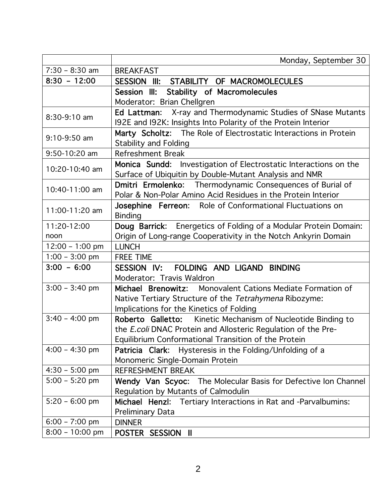|                   | Monday, September 30                                             |
|-------------------|------------------------------------------------------------------|
| $7:30 - 8:30$ am  | <b>BREAKFAST</b>                                                 |
| $8:30 - 12:00$    | SESSION III: STABILITY OF MACROMOLECULES                         |
|                   | <b>Stability of Macromolecules</b><br>Session III:               |
|                   | Moderator: Brian Chellgren                                       |
| 8:30-9:10 am      | Ed Lattman: X-ray and Thermodynamic Studies of SNase Mutants     |
|                   | 192E and 192K: Insights Into Polarity of the Protein Interior    |
| 9:10-9:50 am      | Marty Scholtz: The Role of Electrostatic Interactions in Protein |
|                   | <b>Stability and Folding</b>                                     |
| 9:50-10:20 am     | <b>Refreshment Break</b>                                         |
| 10:20-10:40 am    | Monica Sundd: Investigation of Electrostatic Interactions on the |
|                   | Surface of Ubiquitin by Double-Mutant Analysis and NMR           |
| 10:40-11:00 am    | Dmitri Ermolenko: Thermodynamic Consequences of Burial of        |
|                   | Polar & Non-Polar Amino Acid Residues in the Protein Interior    |
| 11:00-11:20 am    | Josephine Ferreon: Role of Conformational Fluctuations on        |
|                   | <b>Binding</b>                                                   |
| 11:20-12:00       | Doug Barrick: Energetics of Folding of a Modular Protein Domain: |
| noon              | Origin of Long-range Cooperativity in the Notch Ankyrin Domain   |
| $12:00 - 1:00$ pm | <b>LUNCH</b>                                                     |
| $1:00 - 3:00$ pm  | <b>FREE TIME</b>                                                 |
| $3:00 - 6:00$     | SESSION IV: FOLDING AND LIGAND BINDING                           |
|                   | Moderator: Travis Waldron                                        |
| $3:00 - 3:40$ pm  | Michael Brenowitz: Monovalent Cations Mediate Formation of       |
|                   | Native Tertiary Structure of the Tetrahymena Ribozyme:           |
|                   | Implications for the Kinetics of Folding                         |
| $3:40 - 4:00$ pm  | Roberto Galletto: Kinetic Mechanism of Nucleotide Binding to     |
|                   | the E.coli DNAC Protein and Allosteric Regulation of the Pre-    |
|                   | Equilibrium Conformational Transition of the Protein             |
| $4:00 - 4:30$ pm  | <b>Patricia Clark:</b> Hysteresis in the Folding/Unfolding of a  |
|                   | Monomeric Single-Domain Protein                                  |
| $4:30 - 5:00$ pm  | <b>REFRESHMENT BREAK</b>                                         |
| $5:00 - 5:20$ pm  | Wendy Van Scyoc: The Molecular Basis for Defective Ion Channel   |
|                   | Regulation by Mutants of Calmodulin                              |
| $5:20 - 6:00$ pm  | Michael Henzl: Tertiary Interactions in Rat and -Parvalbumins:   |
|                   | <b>Preliminary Data</b>                                          |
| $6:00 - 7:00$ pm  | <b>DINNER</b>                                                    |
| $8:00 - 10:00$ pm | POSTER SESSION II                                                |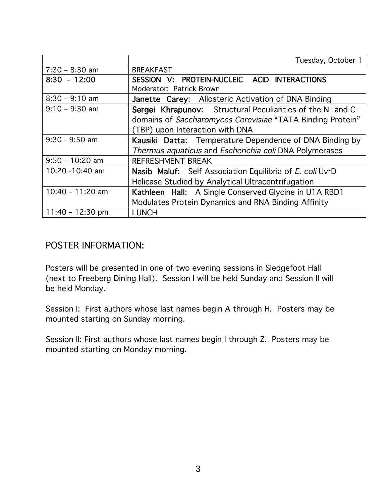|                    | Tuesday, October 1                                          |
|--------------------|-------------------------------------------------------------|
| $7:30 - 8:30$ am   | <b>BREAKFAST</b>                                            |
| $8:30 - 12:00$     | SESSION V: PROTEIN-NUCLEIC ACID INTERACTIONS                |
|                    | Moderator: Patrick Brown                                    |
| $8:30 - 9:10$ am   | Janette Carey: Allosteric Activation of DNA Binding         |
| $9:10 - 9:30$ am   | Sergei Khrapunov: Structural Peculiarities of the N- and C- |
|                    | domains of Saccharomyces Cerevisiae "TATA Binding Protein"  |
|                    | (TBP) upon Interaction with DNA                             |
| $9:30 - 9:50$ am   | Kausiki Datta: Temperature Dependence of DNA Binding by     |
|                    | Thermus aquaticus and Escherichia coli DNA Polymerases      |
| $9:50 - 10:20$ am  | <b>REFRESHMENT BREAK</b>                                    |
| 10:20 -10:40 am    | Nasib Maluf: Self Association Equilibria of E. coli UvrD    |
|                    | Helicase Studied by Analytical Ultracentrifugation          |
| $10:40 - 11:20$ am | Kathleen Hall: A Single Conserved Glycine in U1A RBD1       |
|                    | Modulates Protein Dynamics and RNA Binding Affinity         |
| $11:40 - 12:30$ pm | <b>LUNCH</b>                                                |

## POSTER INFORMATION:

Posters will be presented in one of two evening sessions in Sledgefoot Hall (next to Freeberg Dining Hall). Session I will be held Sunday and Session II will be held Monday.

Session I: First authors whose last names begin A through H. Posters may be mounted starting on Sunday morning.

Session II: First authors whose last names begin I through Z. Posters may be mounted starting on Monday morning.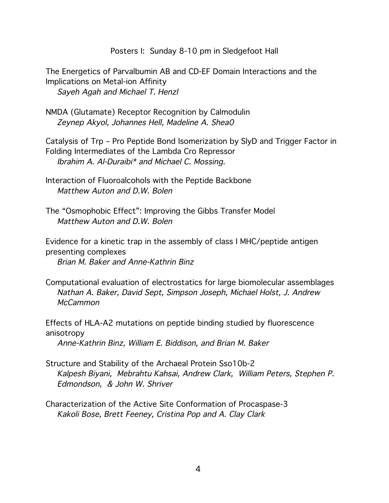Posters I: Sunday 8-10 pm in Sledgefoot Hall

The Energetics of Parvalbumin AB and CD-EF Domain Interactions and the Implications on Metal-ion Affinity Sayeh Agah and Michael T. Henzl

NMDA (Glutamate) Receptor Recognition by Calmodulin Zeynep Akyol, Johannes Hell, Madeline A. Shea0

Catalysis of Trp – Pro Peptide Bond Isomerization by SlyD and Trigger Factor in Folding Intermediates of the Lambda Cro Repressor Ibrahim A. Al-Duraibi\* and Michael C. Mossing.

- Interaction of Fluoroalcohols with the Peptide Backbone Matthew Auton and D.W. Bolen
- The "Osmophobic Effect": Improving the Gibbs Transfer Model Matthew Auton and D.W. Bolen

Evidence for a kinetic trap in the assembly of class I MHC/peptide antigen presenting complexes

Brian M. Baker and Anne-Kathrin Binz

Computational evaluation of electrostatics for large biomolecular assemblages Nathan A. Baker, David Sept, Simpson Joseph, Michael Holst, J. Andrew **McCammon** 

Effects of HLA-A2 mutations on peptide binding studied by fluorescence anisotropy

Anne-Kathrin Binz, William E. Biddison, and Brian M. Baker

Structure and Stability of the Archaeal Protein Sso10b-2 Kalpesh Biyani, Mebrahtu Kahsai, Andrew Clark, William Peters, Stephen P. Edmondson, & John W. Shriver

Characterization of the Active Site Conformation of Procaspase-3 Kakoli Bose, Brett Feeney, Cristina Pop and A. Clay Clark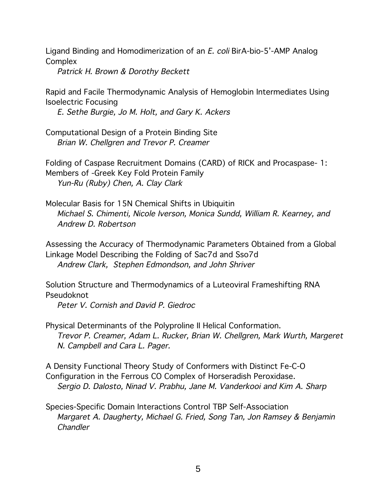Ligand Binding and Homodimerization of an E. coli BirA-bio-5'-AMP Analog **Complex** 

Patrick H. Brown & Dorothy Beckett

Rapid and Facile Thermodynamic Analysis of Hemoglobin Intermediates Using Isoelectric Focusing

E. Sethe Burgie, Jo M. Holt, and Gary K. Ackers

Computational Design of a Protein Binding Site Brian W. Chellgren and Trevor P. Creamer

Folding of Caspase Recruitment Domains (CARD) of RICK and Procaspase- 1: Members of -Greek Key Fold Protein Family Yun-Ru (Ruby) Chen, A. Clay Clark

Molecular Basis for 15N Chemical Shifts in Ubiquitin Michael S. Chimenti, Nicole Iverson, Monica Sundd, William R. Kearney, and Andrew D. Robertson

Assessing the Accuracy of Thermodynamic Parameters Obtained from a Global Linkage Model Describing the Folding of Sac7d and Sso7d Andrew Clark, Stephen Edmondson, and John Shriver

Solution Structure and Thermodynamics of a Luteoviral Frameshifting RNA Pseudoknot

Peter V. Cornish and David P. Giedroc

Physical Determinants of the Polyproline II Helical Conformation. Trevor P. Creamer, Adam L. Rucker, Brian W. Chellgren, Mark Wurth, Margeret N. Campbell and Cara L. Pager.

A Density Functional Theory Study of Conformers with Distinct Fe-C-O Configuration in the Ferrous CO Complex of Horseradish Peroxidase. Sergio D. Dalosto, Ninad V. Prabhu, Jane M. Vanderkooi and Kim A. Sharp

Species-Specific Domain Interactions Control TBP Self-Association Margaret A. Daugherty, Michael G. Fried, Song Tan, Jon Ramsey & Benjamin Chandler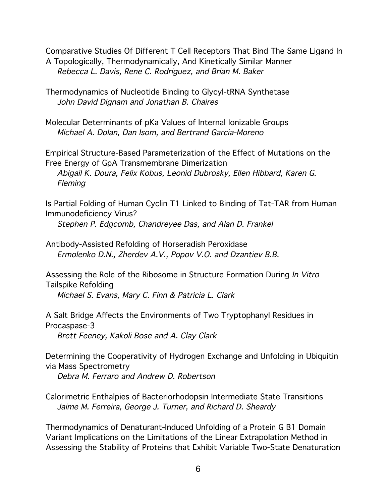Comparative Studies Of Different T Cell Receptors That Bind The Same Ligand In A Topologically, Thermodynamically, And Kinetically Similar Manner Rebecca L. Davis, Rene C. Rodriguez, and Brian M. Baker

Thermodynamics of Nucleotide Binding to Glycyl-tRNA Synthetase John David Dignam and Jonathan B. Chaires

Molecular Determinants of pKa Values of Internal Ionizable Groups Michael A. Dolan, Dan Isom, and Bertrand Garcia-Moreno

Empirical Structure-Based Parameterization of the Effect of Mutations on the Free Energy of GpA Transmembrane Dimerization Abigail K. Doura, Felix Kobus, Leonid Dubrosky, Ellen Hibbard, Karen G. **Fleming** 

Is Partial Folding of Human Cyclin T1 Linked to Binding of Tat-TAR from Human Immunodeficiency Virus?

Stephen P. Edgcomb, Chandreyee Das, and Alan D. Frankel

Antibody-Assisted Refolding of Horseradish Peroxidase Ermolenko D.N., Zherdev A.V., Popov V.O. and Dzantiev B.B.

Assessing the Role of the Ribosome in Structure Formation During In Vitro Tailspike Refolding Michael S. Evans, Mary C. Finn & Patricia L. Clark

A Salt Bridge Affects the Environments of Two Tryptophanyl Residues in Procaspase-3

Brett Feeney, Kakoli Bose and A. Clay Clark

Determining the Cooperativity of Hydrogen Exchange and Unfolding in Ubiquitin via Mass Spectrometry

Debra M. Ferraro and Andrew D. Robertson

Calorimetric Enthalpies of Bacteriorhodopsin Intermediate State Transitions Jaime M. Ferreira, George J. Turner, and Richard D. Sheardy

Thermodynamics of Denaturant-Induced Unfolding of a Protein G B1 Domain Variant Implications on the Limitations of the Linear Extrapolation Method in Assessing the Stability of Proteins that Exhibit Variable Two-State Denaturation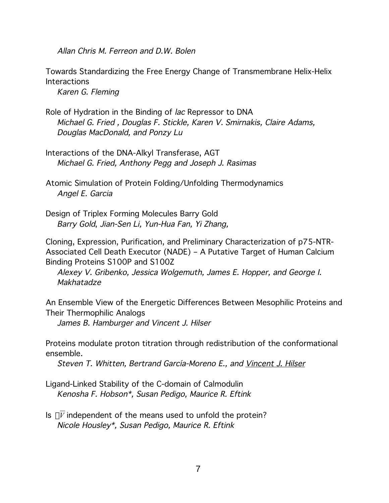Allan Chris M. Ferreon and D.W. Bolen

Towards Standardizing the Free Energy Change of Transmembrane Helix-Helix **Interactions** 

Karen G. Fleming

- Role of Hydration in the Binding of lac Repressor to DNA Michael G. Fried , Douglas F. Stickle, Karen V. Smirnakis, Claire Adams, Douglas MacDonald, and Ponzy Lu
- Interactions of the DNA-Alkyl Transferase, AGT Michael G. Fried, Anthony Pegg and Joseph J. Rasimas
- Atomic Simulation of Protein Folding/Unfolding Thermodynamics Angel E. Garcia

Design of Triplex Forming Molecules Barry Gold Barry Gold, Jian-Sen Li, Yun-Hua Fan, Yi Zhang,

Cloning, Expression, Purification, and Preliminary Characterization of p75-NTR-Associated Cell Death Executor (NADE) – A Putative Target of Human Calcium Binding Proteins S100P and S100Z

Alexey V. Gribenko, Jessica Wolgemuth, James E. Hopper, and George I. Makhatadze

An Ensemble View of the Energetic Differences Between Mesophilic Proteins and Their Thermophilic Analogs

James B. Hamburger and Vincent J. Hilser

Proteins modulate proton titration through redistribution of the conformational ensemble.

Steven T. Whitten, Bertrand García-Moreno E., and Vincent J. Hilser

Ligand-Linked Stability of the C-domain of Calmodulin Kenosha F. Hobson\*, Susan Pedigo, Maurice R. Eftink

Is  $\Delta V$  independent of the means used to unfold the protein? Nicole Housley\*, Susan Pedigo, Maurice R. Eftink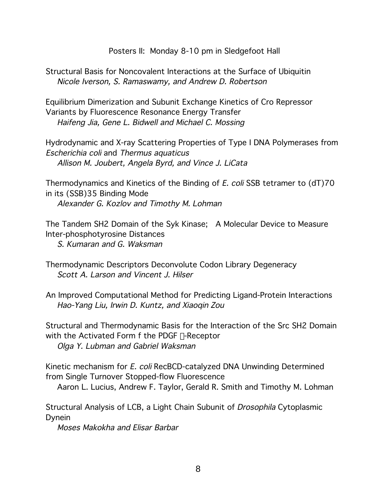Posters II: Monday 8-10 pm in Sledgefoot Hall

Structural Basis for Noncovalent Interactions at the Surface of Ubiquitin Nicole Iverson, S. Ramaswamy, and Andrew D. Robertson

Equilibrium Dimerization and Subunit Exchange Kinetics of Cro Repressor Variants by Fluorescence Resonance Energy Transfer Haifeng Jia, Gene L. Bidwell and Michael C. Mossing

Hydrodynamic and X-ray Scattering Properties of Type I DNA Polymerases from Escherichia coli and Thermus aquaticus Allison M. Joubert, Angela Byrd, and Vince J. LiCata

Thermodynamics and Kinetics of the Binding of E. coli SSB tetramer to (dT)70 in its (SSB)35 Binding Mode Alexander G. Kozlov and Timothy M. Lohman

The Tandem SH2 Domain of the Syk Kinase; A Molecular Device to Measure Inter-phosphotyrosine Distances

S. Kumaran and G. Waksman

Structural and Thermodynamic Basis for the Interaction of the Src SH2 Domain with the Activated Form f the PDGF B-Receptor

Olga Y. Lubman and Gabriel Waksman

Kinetic mechanism for E. coli RecBCD-catalyzed DNA Unwinding Determined from Single Turnover Stopped-flow Fluorescence

Aaron L. Lucius, Andrew F. Taylor, Gerald R. Smith and Timothy M. Lohman

Structural Analysis of LCB, a Light Chain Subunit of Drosophila Cytoplasmic Dynein

Moses Makokha and Elisar Barbar

Thermodynamic Descriptors Deconvolute Codon Library Degeneracy Scott A. Larson and Vincent J. Hilser

An Improved Computational Method for Predicting Ligand-Protein Interactions Hao-Yang Liu, Irwin D. Kuntz, and Xiaoqin Zou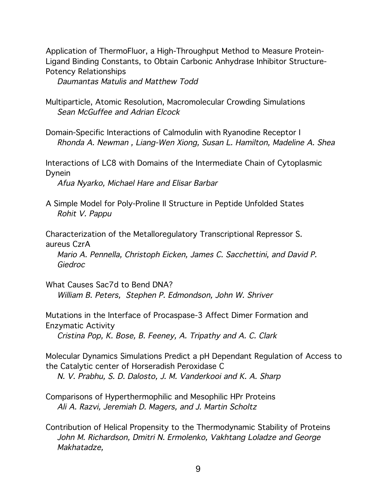Application of ThermoFluor, a High-Throughput Method to Measure Protein-Ligand Binding Constants, to Obtain Carbonic Anhydrase Inhibitor Structure-Potency Relationships

Daumantas Matulis and Matthew Todd

- Multiparticle, Atomic Resolution, Macromolecular Crowding Simulations Sean McGuffee and Adrian Elcock
- Domain-Specific Interactions of Calmodulin with Ryanodine Receptor I Rhonda A. Newman , Liang-Wen Xiong, Susan L. Hamilton, Madeline A. Shea

Interactions of LC8 with Domains of the Intermediate Chain of Cytoplasmic Dynein

Afua Nyarko, Michael Hare and Elisar Barbar

A Simple Model for Poly-Proline II Structure in Peptide Unfolded States Rohit V. Pappu

Characterization of the Metalloregulatory Transcriptional Repressor S. aureus CzrA

Mario A. Pennella, Christoph Eicken, James C. Sacchettini, and David P. Giedroc

What Causes Sac7d to Bend DNA? William B. Peters, Stephen P. Edmondson, John W. Shriver

Mutations in the Interface of Procaspase-3 Affect Dimer Formation and Enzymatic Activity

Cristina Pop, K. Bose, B. Feeney, A. Tripathy and A. C. Clark

Molecular Dynamics Simulations Predict a pH Dependant Regulation of Access to the Catalytic center of Horseradish Peroxidase C

N. V. Prabhu, S. D. Dalosto, J. M. Vanderkooi and K. A. Sharp

Comparisons of Hyperthermophilic and Mesophilic HPr Proteins Ali A. Razvi, Jeremiah D. Magers, and J. Martin Scholtz

Contribution of Helical Propensity to the Thermodynamic Stability of Proteins John M. Richardson, Dmitri N. Ermolenko, Vakhtang Loladze and George Makhatadze,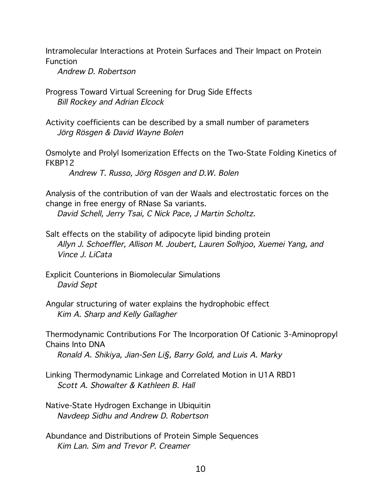Intramolecular Interactions at Protein Surfaces and Their Impact on Protein Function

Andrew D. Robertson

Progress Toward Virtual Screening for Drug Side Effects Bill Rockey and Adrian Elcock

Activity coefficients can be described by a small number of parameters Jörg Rösgen & David Wayne Bolen

Osmolyte and Prolyl Isomerization Effects on the Two-State Folding Kinetics of FKBP12

Andrew T. Russo, Jörg Rösgen and D.W. Bolen

Analysis of the contribution of van der Waals and electrostatic forces on the change in free energy of RNase Sa variants.

David Schell, Jerry Tsai, C Nick Pace, J Martin Scholtz.

Salt effects on the stability of adipocyte lipid binding protein Allyn J. Schoeffler, Allison M. Joubert, Lauren Solhjoo, Xuemei Yang, and Vince J. LiCata

Explicit Counterions in Biomolecular Simulations David Sept

Angular structuring of water explains the hydrophobic effect Kim A. Sharp and Kelly Gallagher

Thermodynamic Contributions For The Incorporation Of Cationic 3-Aminopropyl Chains Into DNA

Ronald A. Shikiya, Jian-Sen Li§, Barry Gold, and Luis A. Marky

Linking Thermodynamic Linkage and Correlated Motion in U1A RBD1 Scott A. Showalter & Kathleen B. Hall

Native-State Hydrogen Exchange in Ubiquitin Navdeep Sidhu and Andrew D. Robertson

Abundance and Distributions of Protein Simple Sequences Kim Lan. Sim and Trevor P. Creamer